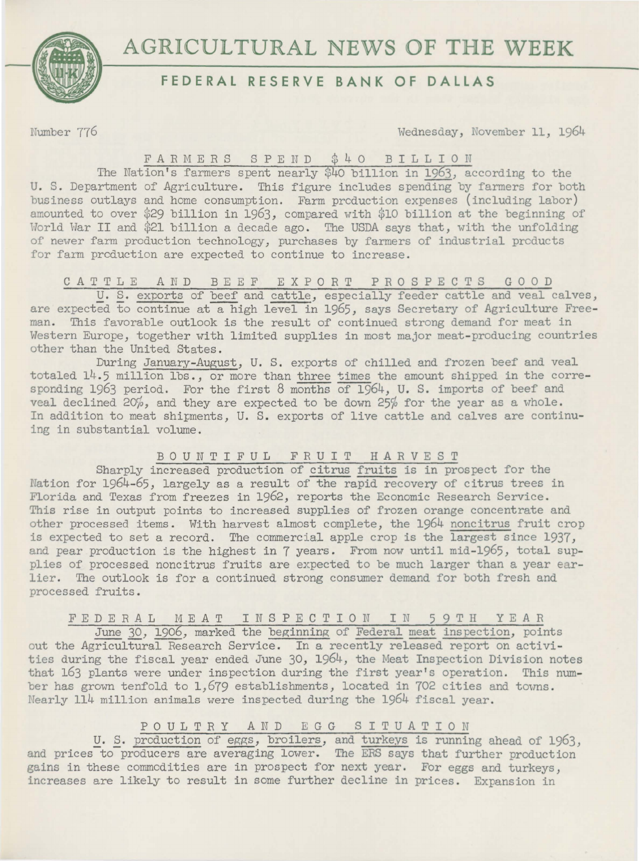



# **FEDERAL RESERVE BANK OF DALLAS**

rJumbe r 776 Wednesday, November 11, 1964

## FARMERS SPEND \$40 BILLION

The Nation's farmers spent nearly \$40 billion in 1963, according to the U. S. Department of Agriculture. This figure includes spending by farmers for both business outlays and home consumption. Farm prcduction expenses (including labor) amounted to over \$29 billion in 1963, compared with \$10 billion at the beginning of World War II and \$21 billion a decade ago. The USDA says that, with the unfolding of newer farm production technology, purchases by farmers of industrial prcducts for farm prcduction are expected to continue to increase.

## CATTLE AND BEEF EXPORT PROSPECTS GOOD

U. S. exports of beef and cattle, especially feeder cattle and veal calves, are expected to continue at a high level in 1965, says Secretary of Agriculture Freeman. This favorable outlook is the result of continued strong demand for meat in Western Europe, together with limited supplies in most major meat-producing countries other than the United States.

During January-August, U. S. exports of chilled and frozen beef and veal totaled 14.5 million lbs., or more than three times the amount shipped in the corresponding 1963 period. For the first 8 months of 1964, U. S. imports of beef and veal declined 20%, and they are expected to be down 25% for the year as a whole. In addition to meat shipments, U. S. exports of live cattle and calves are continuing in substantial volume.

### BOUNTIFUL FRUIT HARVEST

Sharply increased production of citrus fruits is in prospect for the Nation for 1964-65, largely as a result of the rapid recovery of citrus trees in Florida and Texas from freezes in 1962, reports the Economic Research Service. This rise in output points to increased supplies of frozen orange concentrate and other processed items. With harvest almost complete, the 1964 noncitrus fruit crop is expected to set a record. The commercial apple crop is the largest since 1937, and pear production is the highest in 7 years. From now until mid-1965, total supplies of processed noncitrus fruits are expected to be much larger than a year earlier. The outlook is for a continued strong consumer demand for both fresh and processed fruits.

## FEDERAL MEAT INSPECTION IN 59TH YEAR

June 30, 1906, marked the beginning of Federal meat inspection, points out the Agricultural Research Service. In a recently released report on activities during the fiscal year ended June 30, 1964, the Meat Inspection Division notes that 163 plants were under inspection during the first year's operation. This number has grown tenfold to 1,679 establishments, located in 702 cities and towns. Ifearly 114 million animals were inspected during the 1964 fiscal year.

## POULTRY AND EGG SITUATION

U. S. production of eggs, broilers, and turkeys is running ahead of 1963, and prices to producers are averaging lower. The ERS says that further production gains in these commodities are in prospect for next year. For eggs and turkeys, increases are likely to result in some further decline in prices. Expansion in